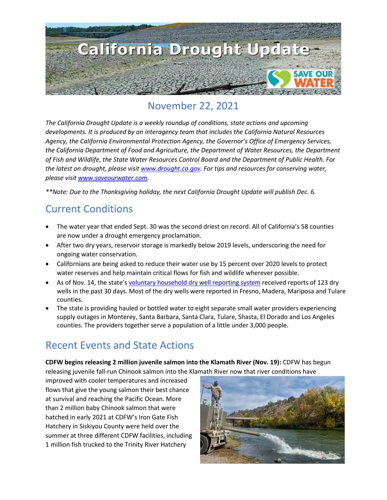

### November 22, 2021

*The California Drought Update is a weekly roundup of conditions, state actions and upcoming developments. It is produced by an interagency team that includes the California Natural Resources Agency, the California Environmental Protection Agency, the Governor's Office of Emergency Services, the California Department of Food and Agriculture, the Department of Water Resources, the Department of Fish and Wildlife, the State Water Resources Control Board and the Department of Public Health. For the latest on drought, please visit [www.drought.ca.gov.](http://www.drought.ca.gov/) For tips and resources for conserving water, please visit [www.saveourwater.com.](http://www.saveourwater.com/)* 

*\*\*Note: Due to the Thanksgiving holiday, the next California Drought Update will publish Dec. 6.* 

#### Current Conditions

- The water year that ended Sept. 30 was the second driest on record. All of California's 58 counties are now under a drought emergency proclamation.
- After two dry years, reservoir storage is markedly below 2019 levels, underscoring the need for ongoing water conservation.
- Californians are being asked to reduce their water use by 15 percent over 2020 levels to protect water reserves and help maintain critical flows for fish and wildlife wherever possible.
- As of Nov. 14, the state'[s voluntary household dry well reporting system](https://mydrywell.water.ca.gov/report/) received reports of 123 dry wells in the past 30 days. Most of the dry wells were reported in Fresno, Madera, Mariposa and Tulare counties.
- The state is providing hauled or bottled water to eight separate small water providers experiencing supply outages in Monterey, Santa Barbara, Santa Clara, Tulare, Shasta, El Dorado and Los Angeles counties. The providers together serve a population of a little under 3,000 people.

### Recent Events and State Actions

**CDFW begins releasing 2 million juvenile salmon into the Klamath River (Nov. 19):** CDFW has begun releasing juvenile fall-run Chinook salmon into the Klamath River now that river conditions have

improved with cooler temperatures and increased flows that give the young salmon their best chance at survival and reaching the Pacific Ocean. More than 2 million baby Chinook salmon that were hatched in early 2021 at CDFW's Iron Gate Fish Hatchery in Siskiyou County were held over the summer at three different CDFW facilities, including 1 million fish trucked to the Trinity River Hatchery

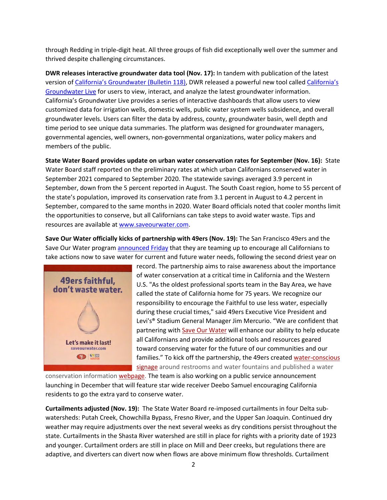through Redding in triple-digit heat. All three groups of fish did exceptionally well over the summer and thrived despite challenging circumstances.

**DWR releases interactive groundwater data tool (Nov. 17):** In tandem with publication of the latest version of [California's Groundwater \(Bulletin 118\),](https://data.cnra.ca.gov/dataset/calgw_update2020) DWR released a powerful new tool called [California's](https://sgma.water.ca.gov/CalGWLive/)  [Groundwater Live](https://sgma.water.ca.gov/CalGWLive/) for users to view, interact, and analyze the latest groundwater information. California's Groundwater Live provides a series of interactive dashboards that allow users to view customized data for irrigation wells, domestic wells, public water system wells subsidence, and overall groundwater levels. Users can filter the data by address, county, groundwater basin, well depth and time period to see unique data summaries. The platform was designed for groundwater managers, governmental agencies, well owners, non-governmental organizations, water policy makers and members of the public.

**State Water Board provides update on urban water conservation rates for September (Nov. 16):** State Water Board staff reported on the preliminary rates at which urban Californians conserved water in September 2021 compared to September 2020. The statewide savings averaged 3.9 percent in September, down from the 5 percent reported in August. The South Coast region, home to 55 percent of the state's population, improved its conservation rate from 3.1 percent in August to 4.2 percent in September, compared to the same months in 2020. Water Board officials noted that cooler months limit the opportunities to conserve, but all Californians can take steps to avoid water waste. Tips and resources are available a[t www.saveourwater.com.](http://www.saveourwater.com/)

**Save Our Water officially kicks of partnership with 49ers (Nov. 19):** The San Francisco 49ers and the Save Our Water program [announced Friday](https://www.49ers.com/news/49ers-and-save-our-water-team-up-to-encourage-californians-to-conserve) that they are teaming up to encourage all Californians to take actions now to save water for current and future water needs, following the second driest year on



record. The partnership aims to raise awareness about the importance of water conservation at a critical time in California and the Western U.S. "As the oldest professional sports team in the Bay Area, we have called the state of California home for 75 years. We recognize our responsibility to encourage the Faithful to use less water, especially during these crucial times," said 49ers Executive Vice President and Levi's® Stadium General Manager Jim Mercurio. "We are confident that partnering with [Save Our Water](https://saveourwater.com/) will enhance our ability to help educate all Californians and provide additional tools and resources geared toward conserving water for the future of our communities and our families." To kick off the partnership, the 49ers created [water-conscious](https://49ers.sharefile.com/share/view/s38d44714983341d29196b07992e582f8)  [signage](https://49ers.sharefile.com/share/view/s38d44714983341d29196b07992e582f8) around restrooms and water fountains and published a water

conservation information [webpage.](https://www.49ers.com/fans/save-our-water) The team is also working on a public service announcement launching in December that will feature star wide receiver Deebo Samuel encouraging California residents to go the extra yard to conserve water.

**Curtailments adjusted (Nov. 19):** The State Water Board re-imposed curtailments in four Delta subwatersheds: Putah Creek, Chowchilla Bypass, Fresno River, and the Upper San Joaquin. Continued dry weather may require adjustments over the next several weeks as dry conditions persist throughout the state. Curtailments in the Shasta River watershed are still in place for rights with a priority date of 1923 and younger. Curtailment orders are still in place on Mill and Deer creeks, but regulations there are adaptive, and diverters can divert now when flows are above minimum flow thresholds. Curtailment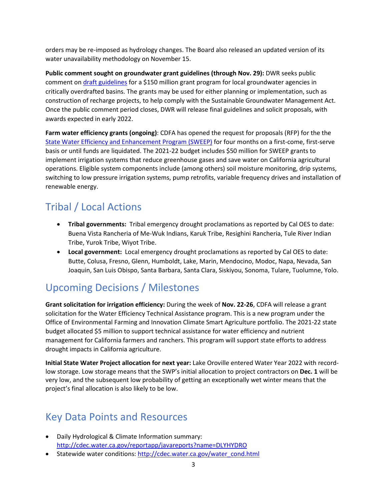orders may be re-imposed as hydrology changes. The Board also released an updated version of its water unavailability methodology on November 15.

**Public comment sought on groundwater grant guidelines (through Nov. 29):** DWR seeks public comment on *draft guidelines* for a \$150 million grant program for local groundwater agencies in critically overdrafted basins. The grants may be used for either planning or implementation, such as construction of recharge projects, to help comply with the Sustainable Groundwater Management Act. Once the public comment period closes, DWR will release final guidelines and solicit proposals, with awards expected in early 2022.

**Farm water efficiency grants (ongoing)**: CDFA has opened the request for proposals (RFP) for the the [State Water Efficiency and Enhancement Program \(SWEEP\)](https://www.cdfa.ca.gov/oefi/sweep/) for four months on a first-come, first-serve basis or until funds are liquidated. The 2021-22 budget includes \$50 million for SWEEP grants to implement irrigation systems that reduce greenhouse gases and save water on California agricultural operations. Eligible system components include (among others) soil moisture monitoring, drip systems, switching to low pressure irrigation systems, pump retrofits, variable frequency drives and installation of renewable energy.

# Tribal / Local Actions

- **Tribal governments:** Tribal emergency drought proclamations as reported by Cal OES to date: Buena Vista Rancheria of Me-Wuk Indians, Karuk Tribe, Resighini Rancheria, Tule River Indian Tribe, Yurok Tribe, Wiyot Tribe.
- **Local government:** Local emergency drought proclamations as reported by Cal OES to date: Butte, Colusa, Fresno, Glenn, Humboldt, Lake, Marin, Mendocino, Modoc, Napa, Nevada, San Joaquin, San Luis Obispo, Santa Barbara, Santa Clara, Siskiyou, Sonoma, Tulare, Tuolumne, Yolo.

## Upcoming Decisions / Milestones

**Grant solicitation for irrigation efficiency:** During the week of **Nov. 22-26**, CDFA will release a grant solicitation for the Water Efficiency Technical Assistance program. This is a new program under the Office of Environmental Farming and Innovation Climate Smart Agriculture portfolio. The 2021-22 state budget allocated \$5 million to support technical assistance for water efficiency and nutrient management for California farmers and ranchers. This program will support state efforts to address drought impacts in California agriculture.

**Initial State Water Project allocation for next year:** Lake Oroville entered Water Year 2022 with recordlow storage. Low storage means that the SWP's initial allocation to project contractors on **Dec. 1** will be very low, and the subsequent low probability of getting an exceptionally wet winter means that the project's final allocation is also likely to be low.

### Key Data Points and Resources

- Daily Hydrological & Climate Information summary: <http://cdec.water.ca.gov/reportapp/javareports?name=DLYHYDRO>
- Statewide water conditions: http://cdec.water.ca.gov/water\_cond.html